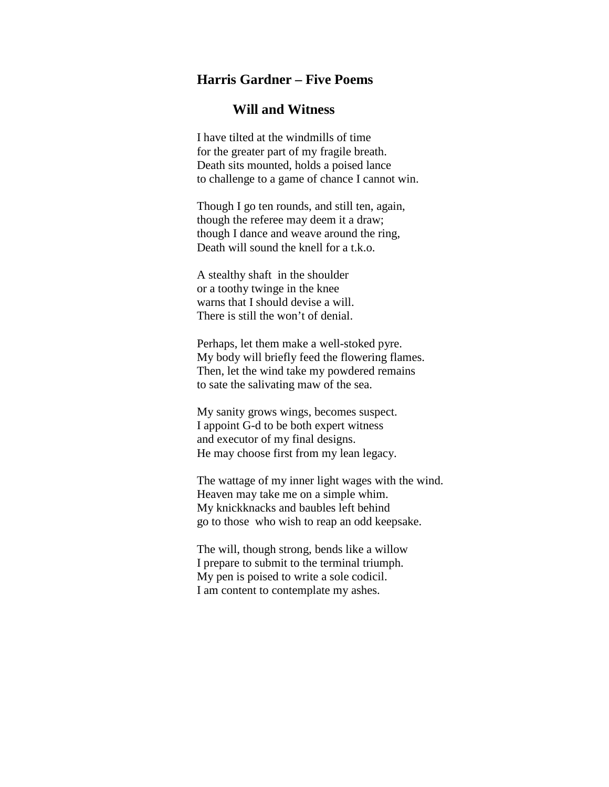## **Harris Gardner – Five Poems**

### **Will and Witness**

I have tilted at the windmills of time for the greater part of my fragile breath. Death sits mounted, holds a poised lance to challenge to a game of chance I cannot win.

Though I go ten rounds, and still ten, again, though the referee may deem it a draw; though I dance and weave around the ring, Death will sound the knell for a t.k.o.

A stealthy shaft in the shoulder or a toothy twinge in the knee warns that I should devise a will. There is still the won't of denial.

Perhaps, let them make a well-stoked pyre. My body will briefly feed the flowering flames. Then, let the wind take my powdered remains to sate the salivating maw of the sea.

My sanity grows wings, becomes suspect. I appoint G-d to be both expert witness and executor of my final designs. He may choose first from my lean legacy.

The wattage of my inner light wages with the wind. Heaven may take me on a simple whim. My knickknacks and baubles left behind go to those who wish to reap an odd keepsake.

The will, though strong, bends like a willow I prepare to submit to the terminal triumph. My pen is poised to write a sole codicil. I am content to contemplate my ashes.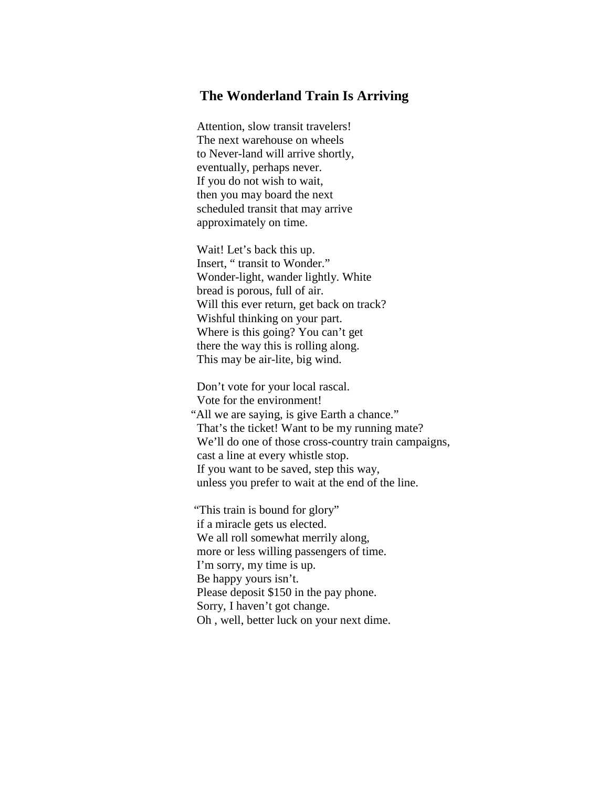# **The Wonderland Train Is Arriving**

 Attention, slow transit travelers! The next warehouse on wheels to Never-land will arrive shortly, eventually, perhaps never. If you do not wish to wait, then you may board the next scheduled transit that may arrive approximately on time.

Wait! Let's back this up. Insert, " transit to Wonder." Wonder-light, wander lightly. White bread is porous, full of air. Will this ever return, get back on track? Wishful thinking on your part. Where is this going? You can't get there the way this is rolling along. This may be air-lite, big wind.

Don't vote for your local rascal. Vote for the environment! "All we are saying, is give Earth a chance." That's the ticket! Want to be my running mate? We'll do one of those cross-country train campaigns, cast a line at every whistle stop. If you want to be saved, step this way, unless you prefer to wait at the end of the line.

 "This train is bound for glory" if a miracle gets us elected. We all roll somewhat merrily along, more or less willing passengers of time. I'm sorry, my time is up. Be happy yours isn't. Please deposit \$150 in the pay phone. Sorry, I haven't got change. Oh , well, better luck on your next dime.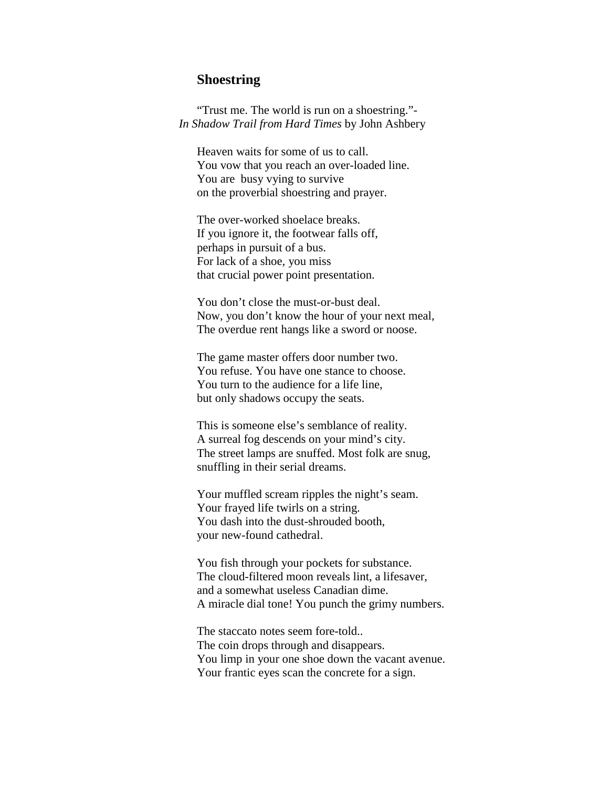#### **Shoestring**

"Trust me. The world is run on a shoestring."-  *In Shadow Trail from Hard Times* by John Ashbery

Heaven waits for some of us to call. You vow that you reach an over-loaded line. You are busy vying to survive on the proverbial shoestring and prayer.

The over-worked shoelace breaks. If you ignore it, the footwear falls off, perhaps in pursuit of a bus. For lack of a shoe, you miss that crucial power point presentation.

You don't close the must-or-bust deal. Now, you don't know the hour of your next meal, The overdue rent hangs like a sword or noose.

The game master offers door number two. You refuse. You have one stance to choose. You turn to the audience for a life line, but only shadows occupy the seats.

This is someone else's semblance of reality. A surreal fog descends on your mind's city. The street lamps are snuffed. Most folk are snug, snuffling in their serial dreams.

Your muffled scream ripples the night's seam. Your frayed life twirls on a string. You dash into the dust-shrouded booth, your new-found cathedral.

You fish through your pockets for substance. The cloud-filtered moon reveals lint, a lifesaver, and a somewhat useless Canadian dime. A miracle dial tone! You punch the grimy numbers.

The staccato notes seem fore-told.. The coin drops through and disappears. You limp in your one shoe down the vacant avenue. Your frantic eyes scan the concrete for a sign.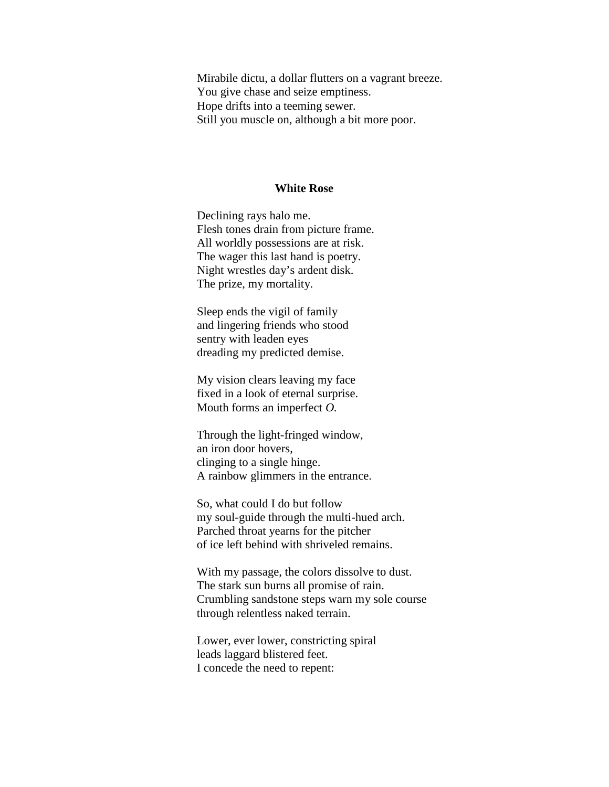Mirabile dictu, a dollar flutters on a vagrant breeze. You give chase and seize emptiness. Hope drifts into a teeming sewer. Still you muscle on, although a bit more poor.

#### **White Rose**

Declining rays halo me. Flesh tones drain from picture frame. All worldly possessions are at risk. The wager this last hand is poetry. Night wrestles day's ardent disk. The prize, my mortality.

 Sleep ends the vigil of family and lingering friends who stood sentry with leaden eyes dreading my predicted demise.

My vision clears leaving my face fixed in a look of eternal surprise. Mouth forms an imperfect *O.*

Through the light-fringed window, an iron door hovers, clinging to a single hinge. A rainbow glimmers in the entrance.

So, what could I do but follow my soul-guide through the multi-hued arch. Parched throat yearns for the pitcher of ice left behind with shriveled remains.

With my passage, the colors dissolve to dust. The stark sun burns all promise of rain. Crumbling sandstone steps warn my sole course through relentless naked terrain.

Lower, ever lower, constricting spiral leads laggard blistered feet. I concede the need to repent: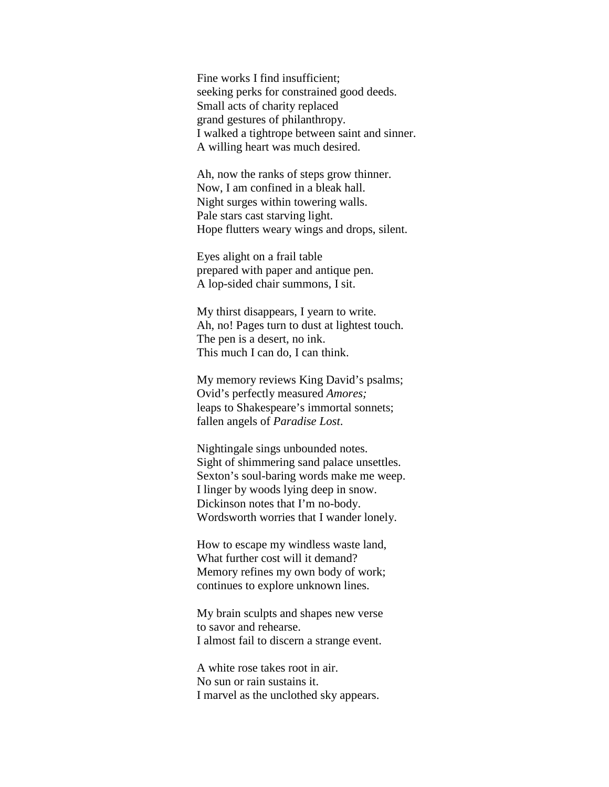Fine works I find insufficient; seeking perks for constrained good deeds. Small acts of charity replaced grand gestures of philanthropy. I walked a tightrope between saint and sinner. A willing heart was much desired.

Ah, now the ranks of steps grow thinner. Now, I am confined in a bleak hall. Night surges within towering walls. Pale stars cast starving light. Hope flutters weary wings and drops, silent.

Eyes alight on a frail table prepared with paper and antique pen. A lop-sided chair summons, I sit.

My thirst disappears, I yearn to write. Ah, no! Pages turn to dust at lightest touch. The pen is a desert, no ink. This much I can do, I can think.

My memory reviews King David's psalms; Ovid's perfectly measured *Amores;* leaps to Shakespeare's immortal sonnets; fallen angels of *Paradise Lost*.

Nightingale sings unbounded notes. Sight of shimmering sand palace unsettles. Sexton's soul-baring words make me weep. I linger by woods lying deep in snow. Dickinson notes that I'm no-body. Wordsworth worries that I wander lonely.

How to escape my windless waste land, What further cost will it demand? Memory refines my own body of work; continues to explore unknown lines.

My brain sculpts and shapes new verse to savor and rehearse. I almost fail to discern a strange event.

A white rose takes root in air. No sun or rain sustains it. I marvel as the unclothed sky appears.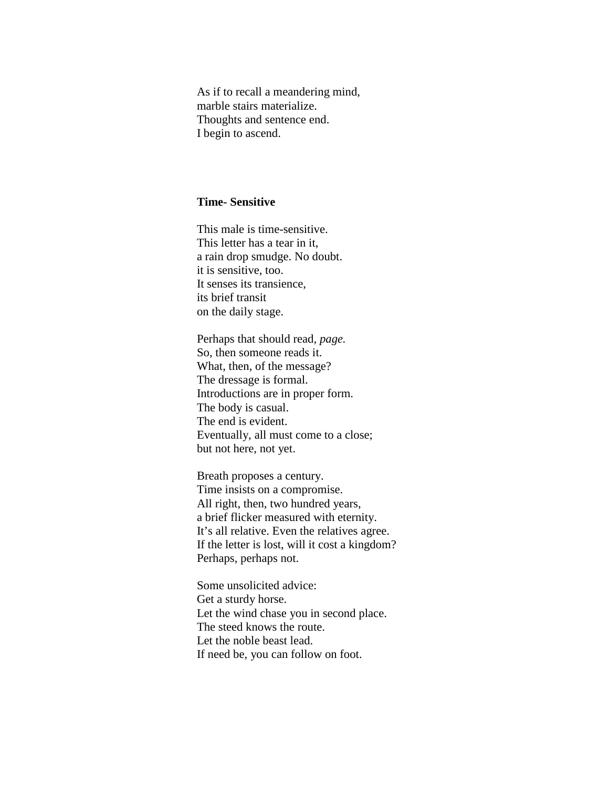As if to recall a meandering mind, marble stairs materialize. Thoughts and sentence end. I begin to ascend.

#### **Time- Sensitive**

This male is time-sensitive. This letter has a tear in it, a rain drop smudge. No doubt. it is sensitive, too. It senses its transience, its brief transit on the daily stage.

Perhaps that should read*, page.* So, then someone reads it. What, then, of the message? The dressage is formal. Introductions are in proper form. The body is casual. The end is evident. Eventually, all must come to a close; but not here, not yet.

Breath proposes a century. Time insists on a compromise. All right, then, two hundred years, a brief flicker measured with eternity. It's all relative. Even the relatives agree. If the letter is lost, will it cost a kingdom? Perhaps, perhaps not.

Some unsolicited advice: Get a sturdy horse. Let the wind chase you in second place. The steed knows the route. Let the noble beast lead. If need be, you can follow on foot.